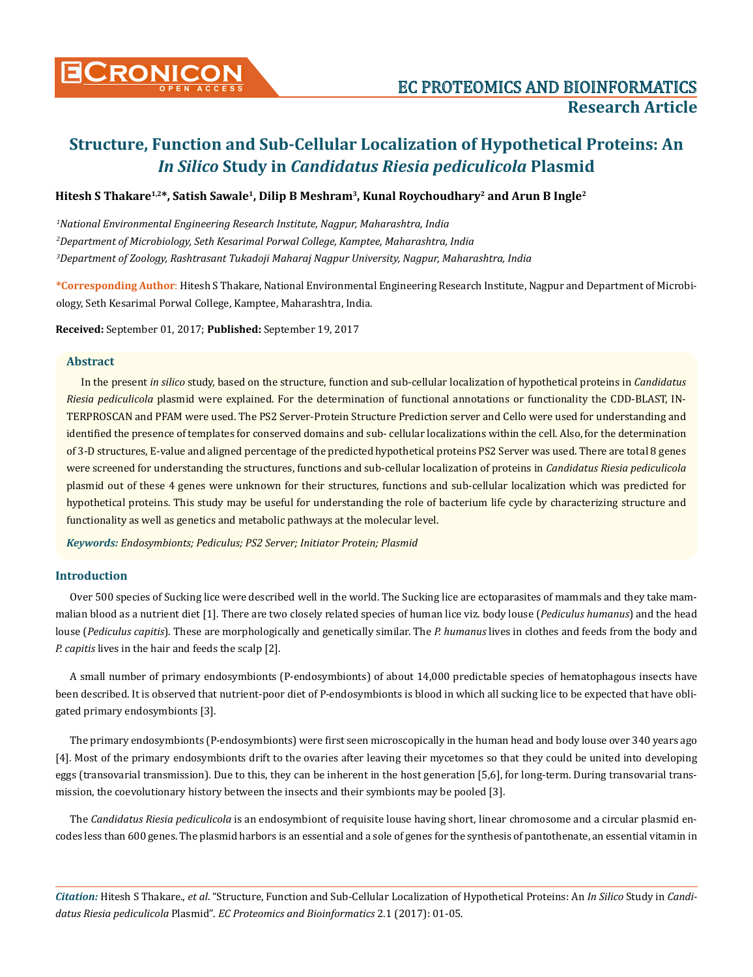

# **Structure, Function and Sub-Cellular Localization of Hypothetical Proteins: An**  *In Silico* **Study in** *Candidatus Riesia pediculicola* **Plasmid**

# **Hitesh S Thakare1,2\*, Satish Sawale1, Dilip B Meshram3, Kunal Roychoudhary2 and Arun B Ingle2**

*1 National Environmental Engineering Research Institute, Nagpur, Maharashtra, India 2 Department of Microbiology, Seth Kesarimal Porwal College, Kamptee, Maharashtra, India 3 Department of Zoology, Rashtrasant Tukadoji Maharaj Nagpur University, Nagpur, Maharashtra, India* 

**\*Corresponding Author**: Hitesh S Thakare, National Environmental Engineering Research Institute, Nagpur and Department of Microbiology, Seth Kesarimal Porwal College, Kamptee, Maharashtra, India.

**Received:** September 01, 2017; **Published:** September 19, 2017

#### **Abstract**

In the present *in silico* study, based on the structure, function and sub-cellular localization of hypothetical proteins in *Candidatus Riesia pediculicola* plasmid were explained. For the determination of functional annotations or functionality the CDD-BLAST, IN-TERPROSCAN and PFAM were used. The PS2 Server-Protein Structure Prediction server and Cello were used for understanding and identified the presence of templates for conserved domains and sub- cellular localizations within the cell. Also, for the determination of 3-D structures, E-value and aligned percentage of the predicted hypothetical proteins PS2 Server was used. There are total 8 genes were screened for understanding the structures, functions and sub-cellular localization of proteins in *Candidatus Riesia pediculicola*  plasmid out of these 4 genes were unknown for their structures, functions and sub-cellular localization which was predicted for hypothetical proteins. This study may be useful for understanding the role of bacterium life cycle by characterizing structure and functionality as well as genetics and metabolic pathways at the molecular level.

*Keywords: Endosymbionts; Pediculus; PS2 Server; Initiator Protein; Plasmid*

### **Introduction**

Over 500 species of Sucking lice were described well in the world. The Sucking lice are ectoparasites of mammals and they take mammalian blood as a nutrient diet [1]. There are two closely related species of human lice viz. body louse (*Pediculus humanus*) and the head louse (*Pediculus capitis*). These are morphologically and genetically similar. The *P. humanus* lives in clothes and feeds from the body and *P. capitis* lives in the hair and feeds the scalp [2].

A small number of primary endosymbionts (P-endosymbionts) of about 14,000 predictable species of hematophagous insects have been described. It is observed that nutrient-poor diet of P-endosymbionts is blood in which all sucking lice to be expected that have obligated primary endosymbionts [3].

The primary endosymbionts (P-endosymbionts) were first seen microscopically in the human head and body louse over 340 years ago [4]. Most of the primary endosymbionts drift to the ovaries after leaving their mycetomes so that they could be united into developing eggs (transovarial transmission). Due to this, they can be inherent in the host generation [5,6], for long-term. During transovarial transmission, the coevolutionary history between the insects and their symbionts may be pooled [3].

The *Candidatus Riesia pediculicola* is an endosymbiont of requisite louse having short, linear chromosome and a circular plasmid encodes less than 600 genes. The plasmid harbors is an essential and a sole of genes for the synthesis of pantothenate, an essential vitamin in

*Citation:* Hitesh S Thakare., *et al*. "Structure, Function and Sub-Cellular Localization of Hypothetical Proteins: An *In Silico* Study in *Candidatus Riesia pediculicola* Plasmid". *EC Proteomics and Bioinformatics* 2.1 (2017): 01-05.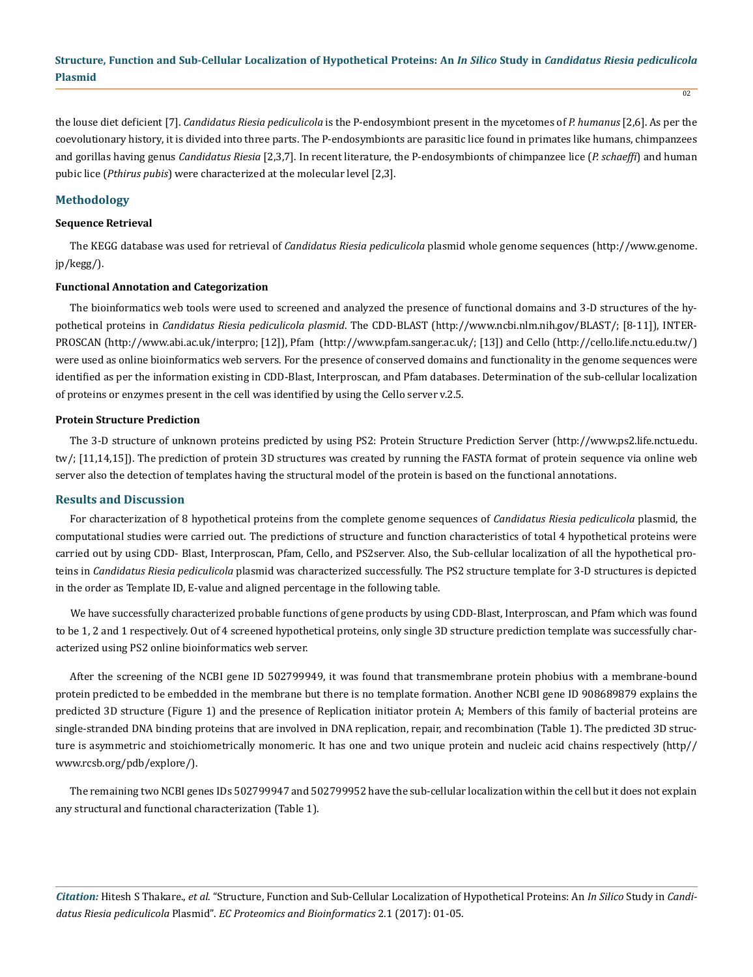the louse diet deficient [7]. *Candidatus Riesia pediculicola* is the P-endosymbiont present in the mycetomes of *P. humanus* [2,6]. As per the coevolutionary history, it is divided into three parts. The P-endosymbionts are parasitic lice found in primates like humans, chimpanzees and gorillas having genus *Candidatus Riesia* [2,3,7]. In recent literature, the P-endosymbionts of chimpanzee lice (*P. schaeffi*) and human pubic lice (*Pthirus pubis*) were characterized at the molecular level [2,3].

# **Methodology**

#### **Sequence Retrieval**

The KEGG database was used for retrieval of *Candidatus Riesia pediculicola* plasmid whole genome sequences (http://www.genome. jp/kegg/).

## **Functional Annotation and Categorization**

The bioinformatics web tools were used to screened and analyzed the presence of functional domains and 3-D structures of the hypothetical proteins in *Candidatus Riesia pediculicola plasmid*. The CDD-BLAST (http://www.ncbi.nlm.nih.gov/BLAST/; [8-11]), INTER-PROSCAN (http://www.abi.ac.uk/interpro; [12]), Pfam (http://www.pfam.sanger.ac.uk/; [13]) and Cello (http://cello.life.nctu.edu.tw/) were used as online bioinformatics web servers. For the presence of conserved domains and functionality in the genome sequences were identified as per the information existing in CDD-Blast, Interproscan, and Pfam databases. Determination of the sub-cellular localization of proteins or enzymes present in the cell was identified by using the Cello server v.2.5.

#### **Protein Structure Prediction**

The 3-D structure of unknown proteins predicted by using PS2: Protein Structure Prediction Server (http://www.ps2.life.nctu.edu. tw/; [11,14,15]). The prediction of protein 3D structures was created by running the FASTA format of protein sequence via online web server also the detection of templates having the structural model of the protein is based on the functional annotations.

#### **Results and Discussion**

For characterization of 8 hypothetical proteins from the complete genome sequences of *Candidatus Riesia pediculicola* plasmid, the computational studies were carried out. The predictions of structure and function characteristics of total 4 hypothetical proteins were carried out by using CDD- Blast, Interproscan, Pfam, Cello, and PS2server. Also, the Sub-cellular localization of all the hypothetical proteins in *Candidatus Riesia pediculicola* plasmid was characterized successfully. The PS2 structure template for 3-D structures is depicted in the order as Template ID, E-value and aligned percentage in the following table.

We have successfully characterized probable functions of gene products by using CDD-Blast, Interproscan, and Pfam which was found to be 1, 2 and 1 respectively. Out of 4 screened hypothetical proteins, only single 3D structure prediction template was successfully characterized using PS2 online bioinformatics web server.

After the screening of the NCBI gene ID 502799949, it was found that transmembrane protein phobius with a membrane-bound protein predicted to be embedded in the membrane but there is no template formation. Another NCBI gene ID 908689879 explains the predicted 3D structure (Figure 1) and the presence of Replication initiator protein A; Members of this family of bacterial proteins are single-stranded DNA binding proteins that are involved in DNA replication, repair, and recombination (Table 1). The predicted 3D structure is asymmetric and stoichiometrically monomeric. It has one and two unique protein and nucleic acid chains respectively (http// www.rcsb.org/pdb/explore/).

The remaining two NCBI genes IDs 502799947 and 502799952 have the sub-cellular localization within the cell but it does not explain any structural and functional characterization (Table 1).

*Citation:* Hitesh S Thakare., *et al*. "Structure, Function and Sub-Cellular Localization of Hypothetical Proteins: An *In Silico* Study in *Candidatus Riesia pediculicola* Plasmid". *EC Proteomics and Bioinformatics* 2.1 (2017): 01-05.

 $\overline{02}$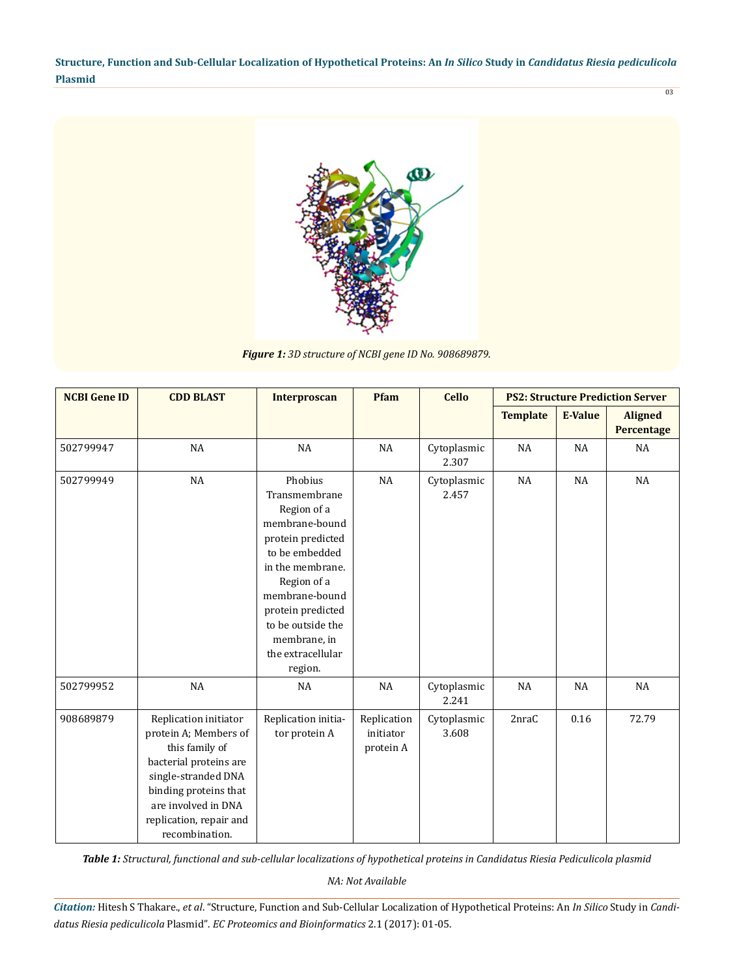**Structure, Function and Sub-Cellular Localization of Hypothetical Proteins: An** *In Silico* **Study in** *Candidatus Riesia pediculicola* **Plasmid** 03



*Figure 1: 3D structure of NCBI gene ID No. 908689879.*

| <b>NCBI Gene ID</b> | <b>CDD BLAST</b>                                                                                                                                                                                               | <b>Interproscan</b>                                                                                                                                                                                                                             | Pfam                                  | <b>Cello</b>         | <b>PS2: Structure Prediction Server</b> |                |                              |
|---------------------|----------------------------------------------------------------------------------------------------------------------------------------------------------------------------------------------------------------|-------------------------------------------------------------------------------------------------------------------------------------------------------------------------------------------------------------------------------------------------|---------------------------------------|----------------------|-----------------------------------------|----------------|------------------------------|
|                     |                                                                                                                                                                                                                |                                                                                                                                                                                                                                                 |                                       |                      | <b>Template</b>                         | <b>E-Value</b> | <b>Aligned</b><br>Percentage |
| 502799947           | NA                                                                                                                                                                                                             | <b>NA</b>                                                                                                                                                                                                                                       | <b>NA</b>                             | Cytoplasmic<br>2.307 | <b>NA</b>                               | NA             | <b>NA</b>                    |
| 502799949           | NA                                                                                                                                                                                                             | Phobius<br>Transmembrane<br>Region of a<br>membrane-bound<br>protein predicted<br>to be embedded<br>in the membrane.<br>Region of a<br>membrane-bound<br>protein predicted<br>to be outside the<br>membrane, in<br>the extracellular<br>region. | NA                                    | Cytoplasmic<br>2.457 | NA                                      | <b>NA</b>      | <b>NA</b>                    |
| 502799952           | NA                                                                                                                                                                                                             | <b>NA</b>                                                                                                                                                                                                                                       | NA                                    | Cytoplasmic<br>2.241 | <b>NA</b>                               | <b>NA</b>      | <b>NA</b>                    |
| 908689879           | Replication initiator<br>protein A; Members of<br>this family of<br>bacterial proteins are<br>single-stranded DNA<br>binding proteins that<br>are involved in DNA<br>replication, repair and<br>recombination. | Replication initia-<br>tor protein A                                                                                                                                                                                                            | Replication<br>initiator<br>protein A | Cytoplasmic<br>3.608 | 2nraC                                   | 0.16           | 72.79                        |

*Table 1: Structural, functional and sub-cellular localizations of hypothetical proteins in Candidatus Riesia Pediculicola plasmid*

*NA: Not Available*

*Citation:* Hitesh S Thakare., *et al*. "Structure, Function and Sub-Cellular Localization of Hypothetical Proteins: An *In Silico* Study in *Candidatus Riesia pediculicola* Plasmid". *EC Proteomics and Bioinformatics* 2.1 (2017): 01-05.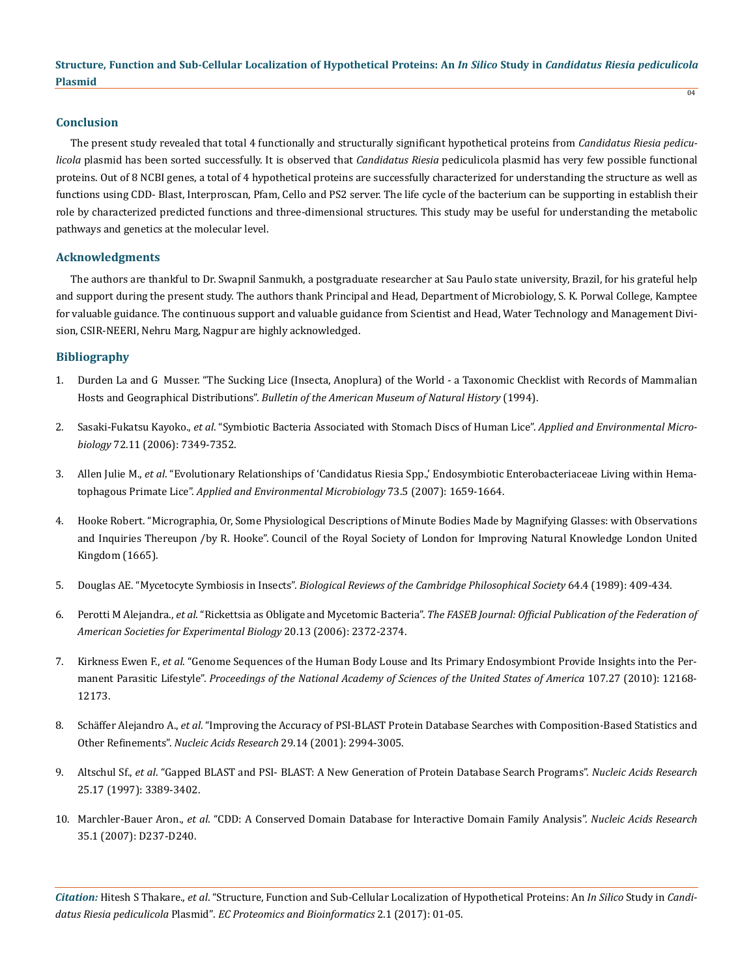## **Conclusion**

The present study revealed that total 4 functionally and structurally significant hypothetical proteins from *Candidatus Riesia pediculicola* plasmid has been sorted successfully. It is observed that *Candidatus Riesia* pediculicola plasmid has very few possible functional proteins. Out of 8 NCBI genes, a total of 4 hypothetical proteins are successfully characterized for understanding the structure as well as functions using CDD- Blast, Interproscan, Pfam, Cello and PS2 server. The life cycle of the bacterium can be supporting in establish their role by characterized predicted functions and three-dimensional structures. This study may be useful for understanding the metabolic pathways and genetics at the molecular level.

# **Acknowledgments**

The authors are thankful to Dr. Swapnil Sanmukh, a postgraduate researcher at Sau Paulo state university, Brazil, for his grateful help and support during the present study. The authors thank Principal and Head, Department of Microbiology, S. K. Porwal College, Kamptee for valuable guidance. The continuous support and valuable guidance from Scientist and Head, Water Technology and Management Division, CSIR-NEERI, Nehru Marg, Nagpur are highly acknowledged.

# **Bibliography**

- 1. [Durden La and G Musser. "The Sucking Lice \(Insecta, Anoplura\) of the World a Taxonomic Checklist with Records of Mammalian](http://phthiraptera.info/Publications/0080.pdf) Hosts and Geographical Distributions". *[Bulletin of the American Museum of Natural History](http://phthiraptera.info/Publications/0080.pdf)* (1994).
- 2. Sasaki-Fukatsu Kayoko., *et al*[. "Symbiotic Bacteria Associated with Stomach Discs of Human Lice".](https://www.ncbi.nlm.nih.gov/pmc/articles/PMC1636134/) *Applied and Environmental Microbiology* [72.11 \(2006\): 7349-7352.](https://www.ncbi.nlm.nih.gov/pmc/articles/PMC1636134/)
- 3. Allen Julie M., *et al*[. "Evolutionary Relationships of 'Candidatus Riesia Spp.,' Endosymbiotic Enterobacteriaceae Living within Hema](https://www.ncbi.nlm.nih.gov/pmc/articles/PMC1828778/)tophagous Primate Lice". *[Applied and Environmental Microbiology](https://www.ncbi.nlm.nih.gov/pmc/articles/PMC1828778/)* 73.5 (2007): 1659-1664.
- 4. Hooke Robert. "Micrographia, Or, Some Physiological Descriptions of Minute Bodies Made by Magnifying Glasses: with Observations and Inquiries Thereupon /by R. Hooke". Council of the Royal Society of London for Improving Natural Knowledge London United Kingdom (1665).
- 5. Douglas AE. "Mycetocyte Symbiosis in Insects". *[Biological Reviews of the Cambridge Philosophical Society](https://www.ncbi.nlm.nih.gov/pubmed/2696562)* 64.4 (1989): 409-434.
- 6. Perotti M Alejandra., *et al*. "Rickettsia as Obligate and Mycetomic Bacteria". *[The FASEB Journal: Official Publication of the Federation of](https://www.ncbi.nlm.nih.gov/pubmed/17012243)  [American Societies for Experimental Biology](https://www.ncbi.nlm.nih.gov/pubmed/17012243)* 20.13 (2006): 2372-2374.
- 7. Kirkness Ewen F., *et al*[. "Genome Sequences of the Human Body Louse and Its Primary Endosymbiont Provide Insights into the Per](https://www.ncbi.nlm.nih.gov/pubmed/20566863)manent Parasitic Lifestyle". *[Proceedings of the National Academy of Sciences of the United States of America](https://www.ncbi.nlm.nih.gov/pubmed/20566863)* 107.27 (2010): 12168- [12173.](https://www.ncbi.nlm.nih.gov/pubmed/20566863)
- 8. Schäffer Alejandro A., *et al*[. "Improving the Accuracy of PSI-BLAST Protein Database Searches with Composition-Based Statistics and](https://www.ncbi.nlm.nih.gov/pubmed/11452024)  Other Refinements". *[Nucleic Acids Research](https://www.ncbi.nlm.nih.gov/pubmed/11452024)* 29.14 (2001): 2994-3005.
- 9. Altschul Sf., *et al*[. "Gapped BLAST and PSI- BLAST: A New Generation of Protein Database Search Programs".](https://www.ncbi.nlm.nih.gov/pubmed/9254694) *Nucleic Acids Research*  [25.17 \(1997\): 3389-3402.](https://www.ncbi.nlm.nih.gov/pubmed/9254694)
- 10. Marchler-Bauer Aron., *et al*[. "CDD: A Conserved Domain Database for Interactive Domain Family Analysis".](https://www.ncbi.nlm.nih.gov/pubmed/17135202) *Nucleic Acids Research* [35.1 \(2007\): D237-D240.](https://www.ncbi.nlm.nih.gov/pubmed/17135202)

*Citation:* Hitesh S Thakare., *et al*. "Structure, Function and Sub-Cellular Localization of Hypothetical Proteins: An *In Silico* Study in *Candidatus Riesia pediculicola* Plasmid". *EC Proteomics and Bioinformatics* 2.1 (2017): 01-05.